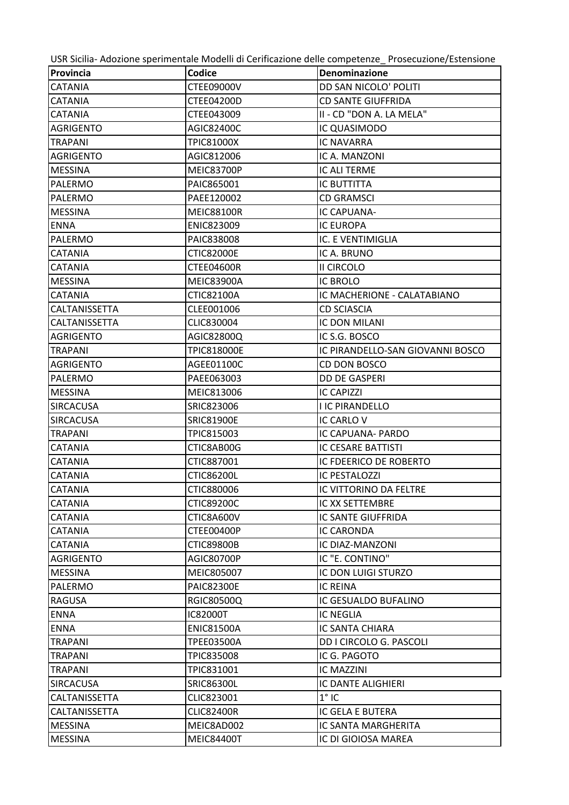USR Sicilia- Adozione sperimentale Modelli di Cerificazione delle competenze\_ Prosecuzione/Estensione

| Provincia        | Codice             | Denominazione                    |
|------------------|--------------------|----------------------------------|
| <b>CATANIA</b>   | <b>CTEE09000V</b>  | DD SAN NICOLO' POLITI            |
| <b>CATANIA</b>   | <b>CTEE04200D</b>  | <b>CD SANTE GIUFFRIDA</b>        |
| <b>CATANIA</b>   | CTEE043009         | II - CD "DON A. LA MELA"         |
| AGRIGENTO        | AGIC82400C         | IC QUASIMODO                     |
| <b>TRAPANI</b>   | <b>TPIC81000X</b>  | <b>IC NAVARRA</b>                |
| AGRIGENTO        | AGIC812006         | IC A. MANZONI                    |
| <b>MESSINA</b>   | <b>MEIC83700P</b>  | IC ALI TERME                     |
| PALERMO          | PAIC865001         | <b>IC BUTTITTA</b>               |
| PALERMO          | PAEE120002         | <b>CD GRAMSCI</b>                |
| <b>MESSINA</b>   | <b>MEIC88100R</b>  | IC CAPUANA-                      |
| <b>ENNA</b>      | ENIC823009         | IC EUROPA                        |
| <b>PALERMO</b>   | PAIC838008         | IC. E VENTIMIGLIA                |
| <b>CATANIA</b>   | <b>CTIC82000E</b>  | IC A. BRUNO                      |
| <b>CATANIA</b>   | CTEE04600R         | II CIRCOLO                       |
| <b>MESSINA</b>   | <b>MEIC83900A</b>  | <b>IC BROLO</b>                  |
| <b>CATANIA</b>   | <b>CTIC82100A</b>  | IC MACHERIONE - CALATABIANO      |
| CALTANISSETTA    | CLEE001006         | <b>CD SCIASCIA</b>               |
| CALTANISSETTA    | CLIC830004         | <b>IC DON MILANI</b>             |
| <b>AGRIGENTO</b> | AGIC82800Q         | IC S.G. BOSCO                    |
| <b>TRAPANI</b>   | <b>TPIC818000E</b> | IC PIRANDELLO-SAN GIOVANNI BOSCO |
| <b>AGRIGENTO</b> | AGEE01100C         | CD DON BOSCO                     |
| PALERMO          | PAEE063003         | <b>DD DE GASPERI</b>             |
| <b>MESSINA</b>   | MEIC813006         | <b>IC CAPIZZI</b>                |
| <b>SIRCACUSA</b> | SRIC823006         | <b>I IC PIRANDELLO</b>           |
| <b>SIRCACUSA</b> | <b>SRIC81900E</b>  | IC CARLO V                       |
| <b>TRAPANI</b>   | TPIC815003         | IC CAPUANA- PARDO                |
| <b>CATANIA</b>   | CTIC8AB00G         | <b>IC CESARE BATTISTI</b>        |
| CATANIA          | CTIC887001         | IC FDEERICO DE ROBERTO           |
| <b>CATANIA</b>   | <b>CTIC86200L</b>  | <b>IC PESTALOZZI</b>             |
| <b>CATANIA</b>   | CTIC880006         | <b>IC VITTORINO DA FELTRE</b>    |
| <b>CATANIA</b>   | <b>CTIC89200C</b>  | IC XX SETTEMBRE                  |
| <b>CATANIA</b>   | CTIC8A600V         | <b>IC SANTE GIUFFRIDA</b>        |
| CATANIA          | CTEE00400P         | IC CARONDA                       |
| <b>CATANIA</b>   | <b>CTIC89800B</b>  | IC DIAZ-MANZONI                  |
| <b>AGRIGENTO</b> | AGIC80700P         | IC "E. CONTINO"                  |
| <b>MESSINA</b>   | MEIC805007         | IC DON LUIGI STURZO              |
| PALERMO          | <b>PAIC82300E</b>  | IC REINA                         |
| <b>RAGUSA</b>    | <b>RGIC80500Q</b>  | IC GESUALDO BUFALINO             |
| <b>ENNA</b>      | <b>IC82000T</b>    | <b>IC NEGLIA</b>                 |
| <b>ENNA</b>      | <b>ENIC81500A</b>  | IC SANTA CHIARA                  |
| <b>TRAPANI</b>   | <b>TPEE03500A</b>  | DD I CIRCOLO G. PASCOLI          |
| <b>TRAPANI</b>   | <b>TPIC835008</b>  | IC G. PAGOTO                     |
| <b>TRAPANI</b>   | TPIC831001         | <b>IC MAZZINI</b>                |
| <b>SIRCACUSA</b> | <b>SRIC86300L</b>  | IC DANTE ALIGHIERI               |
| CALTANISSETTA    | CLIC823001         | $1°$ IC                          |
| CALTANISSETTA    | <b>CLIC82400R</b>  | IC GELA E BUTERA                 |
| <b>MESSINA</b>   | MEIC8AD002         | IC SANTA MARGHERITA              |
| <b>MESSINA</b>   | <b>MEIC84400T</b>  | IC DI GIOIOSA MAREA              |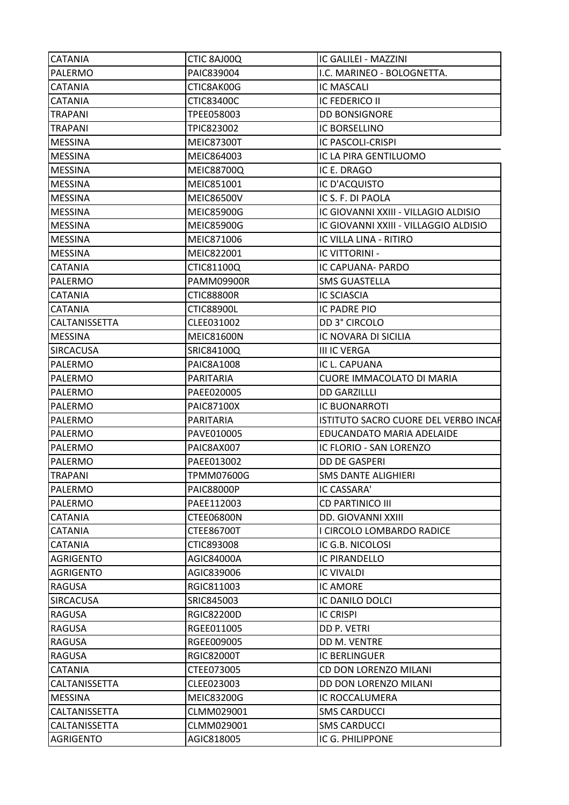| <b>CATANIA</b>                         | CTIC 8AJ00Q       | IC GALILEI - MAZZINI                  |
|----------------------------------------|-------------------|---------------------------------------|
| <b>PALERMO</b>                         | PAIC839004        | I.C. MARINEO - BOLOGNETTA.            |
| <b>CATANIA</b>                         | CTIC8AK00G        | <b>IC MASCALI</b>                     |
| <b>CATANIA</b>                         | <b>CTIC83400C</b> | <b>IC FEDERICO II</b>                 |
| <b>TRAPANI</b>                         | TPEE058003        | <b>DD BONSIGNORE</b>                  |
| <b>TRAPANI</b>                         | TPIC823002        | IC BORSELLINO                         |
| <b>MESSINA</b>                         | <b>MEIC87300T</b> | IC PASCOLI-CRISPI                     |
| <b>MESSINA</b>                         | MEIC864003        | IC LA PIRA GENTILUOMO                 |
| <b>MESSINA</b>                         | <b>MEIC88700Q</b> | IC E. DRAGO                           |
| <b>MESSINA</b>                         | MEIC851001        | IC D'ACQUISTO                         |
| <b>MESSINA</b>                         | <b>MEIC86500V</b> | IC S. F. DI PAOLA                     |
| <b>MESSINA</b>                         | <b>MEIC85900G</b> | IC GIOVANNI XXIII - VILLAGIO ALDISIO  |
| <b>MESSINA</b>                         | <b>MEIC85900G</b> | IC GIOVANNI XXIII - VILLAGGIO ALDISIO |
| <b>MESSINA</b>                         | MEIC871006        | IC VILLA LINA - RITIRO                |
| <b>MESSINA</b>                         | MEIC822001        | <b>IC VITTORINI -</b>                 |
| <b>CATANIA</b>                         | CTIC81100Q        | IC CAPUANA- PARDO                     |
| PALERMO                                | <b>PAMM09900R</b> | <b>SMS GUASTELLA</b>                  |
|                                        |                   |                                       |
| <b>CATANIA</b>                         | <b>CTIC88800R</b> | <b>IC SCIASCIA</b>                    |
| <b>CATANIA</b><br><b>CALTANISSETTA</b> | CTIC88900L        | <b>IC PADRE PIO</b>                   |
|                                        | CLEE031002        | DD 3° CIRCOLO                         |
| <b>MESSINA</b>                         | <b>MEIC81600N</b> | IC NOVARA DI SICILIA                  |
| ISIRCACUSA                             | SRIC84100Q        | <b>III IC VERGA</b>                   |
| <b>PALERMO</b>                         | PAIC8A1008        | IC L. CAPUANA                         |
| PALERMO                                | PARITARIA         | <b>CUORE IMMACOLATO DI MARIA</b>      |
| <b>PALERMO</b>                         | PAEE020005        | <b>DD GARZILLLI</b>                   |
| PALERMO                                | <b>PAIC87100X</b> | <b>IC BUONARROTI</b>                  |
| PALERMO                                | PARITARIA         | ISTITUTO SACRO CUORE DEL VERBO INCAR  |
| PALERMO                                | PAVE010005        | EDUCANDATO MARIA ADELAIDE             |
| PALERMO                                | PAIC8AX007        | IC FLORIO - SAN LORENZO               |
| PALERMO                                | PAEE013002        | DD DE GASPERI                         |
| <b>TRAPANI</b>                         | <b>TPMM07600G</b> | <b>SMS DANTE ALIGHIERI</b>            |
| PALERMO                                | <b>PAIC88000P</b> | IC CASSARA'                           |
| PALERMO                                | PAEE112003        | <b>CD PARTINICO III</b>               |
| <b>CATANIA</b>                         | <b>CTEE06800N</b> | <b>DD. GIOVANNI XXIII</b>             |
| <b>CATANIA</b>                         | <b>CTEE86700T</b> | I CIRCOLO LOMBARDO RADICE             |
| <b>CATANIA</b>                         | CTIC893008        | IC G.B. NICOLOSI                      |
| <b>AGRIGENTO</b>                       | AGIC84000A        | <b>IC PIRANDELLO</b>                  |
| <b>AGRIGENTO</b>                       | AGIC839006        | <b>IC VIVALDI</b>                     |
| <b>RAGUSA</b>                          | RGIC811003        | <b>IC AMORE</b>                       |
| <b>SIRCACUSA</b>                       | SRIC845003        | IC DANILO DOLCI                       |
| <b>RAGUSA</b>                          | <b>RGIC82200D</b> | <b>IC CRISPI</b>                      |
| <b>RAGUSA</b>                          | RGEE011005        | DD P. VETRI                           |
| <b>RAGUSA</b>                          | RGEE009005        | DD M. VENTRE                          |
| <b>RAGUSA</b>                          | <b>RGIC82000T</b> | <b>IC BERLINGUER</b>                  |
| <b>CATANIA</b>                         | CTEE073005        | <b>CD DON LORENZO MILANI</b>          |
| <b>CALTANISSETTA</b>                   | CLEE023003        | DD DON LORENZO MILANI                 |
| <b>MESSINA</b>                         | MEIC83200G        | IC ROCCALUMERA                        |
| CALTANISSETTA                          | CLMM029001        | <b>SMS CARDUCCI</b>                   |
| CALTANISSETTA                          | CLMM029001        | <b>SMS CARDUCCI</b>                   |
| <b>AGRIGENTO</b>                       | AGIC818005        | IC G. PHILIPPONE                      |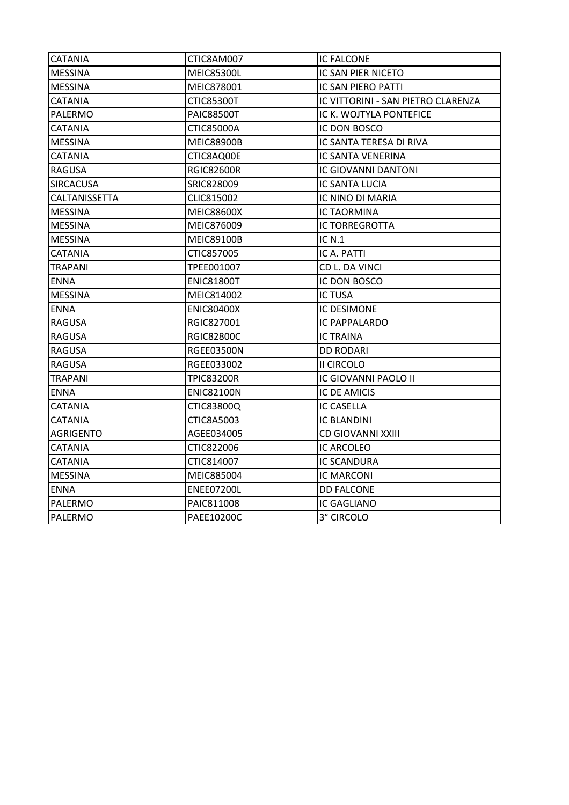| CTIC8AM007        | <b>IC FALCONE</b>                  |
|-------------------|------------------------------------|
| <b>MEIC85300L</b> | IC SAN PIER NICETO                 |
| MEIC878001        | IC SAN PIERO PATTI                 |
| CTIC85300T        | IC VITTORINI - SAN PIETRO CLARENZA |
| <b>PAIC88500T</b> | IC K. WOJTYLA PONTEFICE            |
| <b>CTIC85000A</b> | IC DON BOSCO                       |
| <b>MEIC88900B</b> | IC SANTA TERESA DI RIVA            |
| CTIC8AQ00E        | <b>IC SANTA VENERINA</b>           |
| <b>RGIC82600R</b> | <b>IC GIOVANNI DANTONI</b>         |
| SRIC828009        | <b>IC SANTA LUCIA</b>              |
| CLIC815002        | IC NINO DI MARIA                   |
| <b>MEIC88600X</b> | <b>IC TAORMINA</b>                 |
| MEIC876009        | <b>IC TORREGROTTA</b>              |
| <b>MEIC89100B</b> | <b>IC N.1</b>                      |
| CTIC857005        | IC A. PATTI                        |
| TPEE001007        | CD L. DA VINCI                     |
| <b>ENIC81800T</b> | IC DON BOSCO                       |
| MEIC814002        | <b>IC TUSA</b>                     |
| <b>ENIC80400X</b> | <b>IC DESIMONE</b>                 |
| RGIC827001        | IC PAPPALARDO                      |
| <b>RGIC82800C</b> | IC TRAINA                          |
| <b>RGEE03500N</b> | <b>DD RODARI</b>                   |
| RGEE033002        | <b>II CIRCOLO</b>                  |
| TPIC83200R        | IC GIOVANNI PAOLO II               |
| <b>ENIC82100N</b> | <b>IC DE AMICIS</b>                |
| CTIC83800Q        | <b>IC CASELLA</b>                  |
| <b>CTIC8A5003</b> | IC BLANDINI                        |
| AGEE034005        | <b>CD GIOVANNI XXIII</b>           |
| CTIC822006        | IC ARCOLEO                         |
| CTIC814007        | <b>IC SCANDURA</b>                 |
| MEIC885004        | <b>IC MARCONI</b>                  |
| <b>ENEE07200L</b> | <b>DD FALCONE</b>                  |
| PAIC811008        | IC GAGLIANO                        |
| PAEE10200C        | 3° CIRCOLO                         |
|                   |                                    |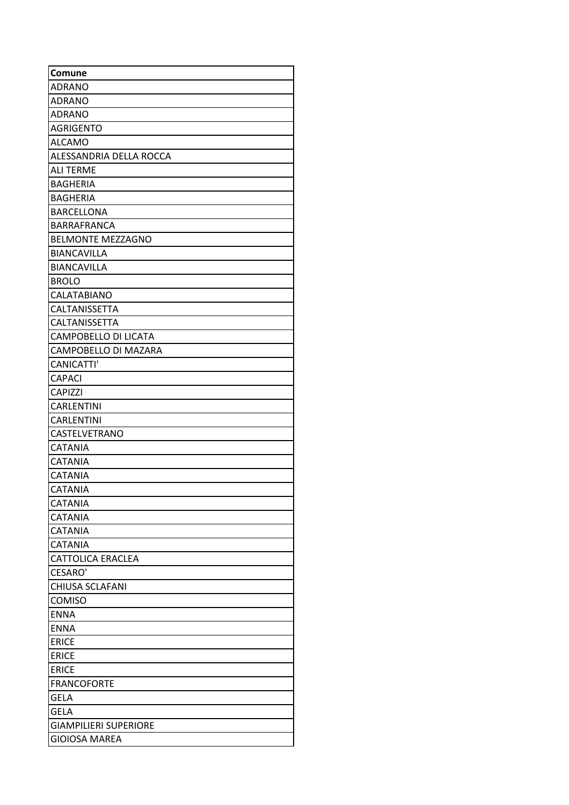| Comune                       |
|------------------------------|
| <b>ADRANO</b>                |
| <b>ADRANO</b>                |
| <b>ADRANO</b>                |
| <b>AGRIGENTO</b>             |
| <b>ALCAMO</b>                |
| ALESSANDRIA DELLA ROCCA      |
| <b>ALI TERME</b>             |
| <b>BAGHERIA</b>              |
| <b>BAGHERIA</b>              |
| <b>BARCELLONA</b>            |
| BARRAFRANCA                  |
| <b>BELMONTE MEZZAGNO</b>     |
| <b>BIANCAVILLA</b>           |
| <b>BIANCAVILLA</b>           |
| <b>BROLO</b>                 |
| CALATABIANO                  |
| CALTANISSETTA                |
| <b>CALTANISSETTA</b>         |
| <b>CAMPOBELLO DI LICATA</b>  |
| CAMPOBELLO DI MAZARA         |
| CANICATTI'                   |
| <b>CAPACI</b>                |
| <b>CAPIZZI</b>               |
| <b>CARLENTINI</b>            |
| <b>CARLENTINI</b>            |
| CASTELVETRANO                |
| <b>CATANIA</b>               |
| <b>CATANIA</b>               |
| <b>CATANIA</b>               |
| <b>CATANIA</b>               |
| <b>CATANIA</b>               |
| <b>CATANIA</b>               |
| <b>CATANIA</b>               |
| <b>CATANIA</b>               |
| <b>CATTOLICA ERACLEA</b>     |
| <b>CESARO'</b>               |
| <b>CHIUSA SCLAFANI</b>       |
| <b>COMISO</b>                |
| <b>ENNA</b>                  |
| <b>ENNA</b>                  |
| <b>ERICE</b>                 |
| <b>ERICE</b>                 |
| <b>ERICE</b>                 |
| <b>FRANCOFORTE</b>           |
| <b>GELA</b>                  |
| <b>GELA</b>                  |
| <b>GIAMPILIERI SUPERIORE</b> |
| <b>GIOIOSA MAREA</b>         |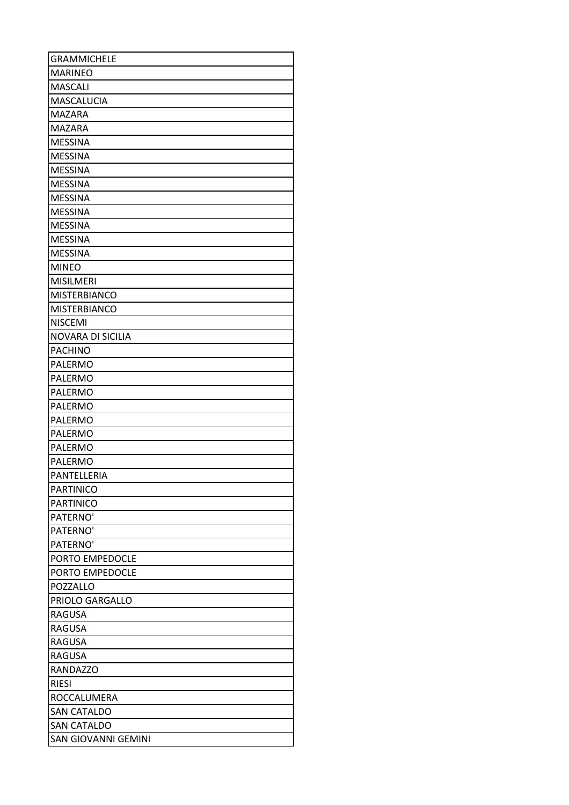| <b>GRAMMICHELE</b>         |
|----------------------------|
| <b>MARINEO</b>             |
| <b>MASCALI</b>             |
| <b>MASCALUCIA</b>          |
| <b>MAZARA</b>              |
| <b>MAZARA</b>              |
| <b>MESSINA</b>             |
| <b>MESSINA</b>             |
| <b>MESSINA</b>             |
| <b>MESSINA</b>             |
| <b>MESSINA</b>             |
| <b>MESSINA</b>             |
| <b>MESSINA</b>             |
| <b>MESSINA</b>             |
| <b>MESSINA</b>             |
| <b>MINEO</b>               |
| <b>MISILMERI</b>           |
| <b>MISTERBIANCO</b>        |
| <b>MISTERBIANCO</b>        |
| <b>NISCEMI</b>             |
| <b>NOVARA DI SICILIA</b>   |
| <b>PACHINO</b>             |
| PALERMO                    |
| PALERMO                    |
| <b>PALERMO</b>             |
| PALERMO                    |
| PALERMO                    |
| PALERMO                    |
| PALERMO                    |
| PALERMO                    |
| PANTELLERIA                |
| <b>PARTINICO</b>           |
| <b>PARTINICO</b>           |
| PATERNO'                   |
| PATERNO'                   |
| PATERNO'                   |
| PORTO EMPEDOCLE            |
| PORTO EMPEDOCLE            |
| POZZALLO                   |
| PRIOLO GARGALLO            |
| <b>RAGUSA</b>              |
| <b>RAGUSA</b>              |
| <b>RAGUSA</b>              |
| <b>RAGUSA</b>              |
| <b>RANDAZZO</b>            |
| <b>RIESI</b>               |
| ROCCALUMERA                |
| <b>SAN CATALDO</b>         |
| <b>SAN CATALDO</b>         |
| <b>SAN GIOVANNI GEMINI</b> |